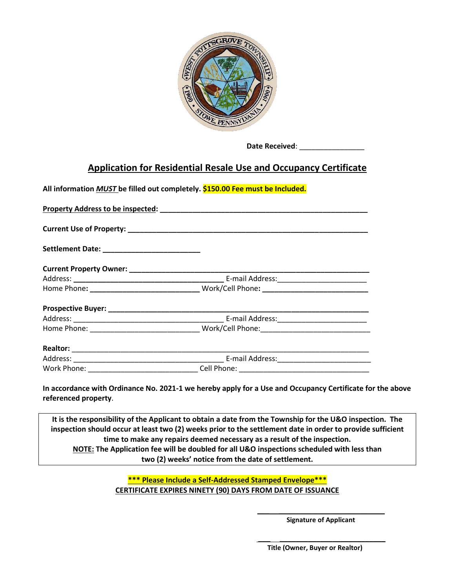

 **Date Received**: \_\_\_\_\_\_\_\_\_\_\_\_\_\_\_\_

## **Application for Residential Resale Use and Occupancy Certificate**

**All information** *MUST* **be filled out completely. \$150.00 Fee must be Included.**

**In accordance with Ordinance No. 2021-1 we hereby apply for a Use and Occupancy Certificate for the above referenced property**.

**It is the responsibility of the Applicant to obtain a date from the Township for the U&O inspection. The inspection should occur at least two (2) weeks prior to the settlement date in order to provide sufficient time to make any repairs deemed necessary as a result of the inspection. NOTE: The Application fee will be doubled for all U&O inspections scheduled with less than two (2) weeks' notice from the date of settlement.**

> **\*\*\* Please Include a Self-Addressed Stamped Envelope\*\*\* CERTIFICATE EXPIRES NINETY (90) DAYS FROM DATE OF ISSUANCE**

> > **\_\_\_ \_\_\_\_\_\_\_\_\_\_\_\_\_\_\_\_\_\_\_\_\_\_\_\_\_\_ Signature of Applicant**

> > **\_\_\_ \_\_\_\_\_\_\_\_\_\_\_\_\_\_\_\_\_\_\_\_\_\_\_\_\_\_**

**Title (Owner, Buyer or Realtor)**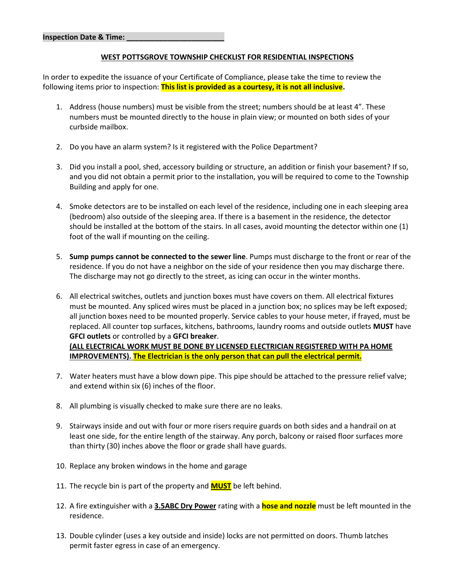## **WEST POTTSGROVE TOWNSHIP CHECKLIST FOR RESIDENTIAL INSPECTIONS**

In order to expedite the issuance of your Certificate of Compliance, please take the time to review the following items prior to inspection: **This list is provided as a courtesy, it is not all inclusive.**

- 1. Address (house numbers) must be visible from the street; numbers should be at least 4". These numbers must be mounted directly to the house in plain view; or mounted on both sides of your curbside mailbox.
- 2. Do you have an alarm system? Is it registered with the Police Department?
- 3. Did you install a pool, shed, accessory building or structure, an addition or finish your basement? If so, and you did not obtain a permit prior to the installation, you will be required to come to the Township Building and apply for one.
- 4. Smoke detectors are to be installed on each level of the residence, including one in each sleeping area (bedroom) also outside of the sleeping area. If there is a basement in the residence, the detector should be installed at the bottom of the stairs. In all cases, avoid mounting the detector within one (1) foot of the wall if mounting on the ceiling.
- 5. **Sump pumps cannot be connected to the sewer line**. Pumps must discharge to the front or rear of the residence. If you do not have a neighbor on the side of your residence then you may discharge there. The discharge may not go directly to the street, as icing can occur in the winter months.
- 6. All electrical switches, outlets and junction boxes must have covers on them. All electrical fixtures must be mounted. Any spliced wires must be placed in a junction box; no splices may be left exposed; all junction boxes need to be mounted properly. Service cables to your house meter, if frayed, must be replaced. All counter top surfaces, kitchens, bathrooms, laundry rooms and outside outlets **MUST** have **GFCI outlets** or controlled by a **GFCI breaker**. **(ALL ELECTRICAL WORK MUST BE DONE BY LICENSED ELECTRICIAN REGISTERED WITH PA HOME IMPROVEMENTS). The Electrician is the only person that can pull the electrical permit.**

7. Water heaters must have a blow down pipe. This pipe should be attached to the pressure relief valve;

- and extend within six (6) inches of the floor.
- 8. All plumbing is visually checked to make sure there are no leaks.
- 9. Stairways inside and out with four or more risers require guards on both sides and a handrail on at least one side, for the entire length of the stairway. Any porch, balcony or raised floor surfaces more than thirty (30) inches above the floor or grade shall have guards.
- 10. Replace any broken windows in the home and garage
- 11. The recycle bin is part of the property and **MUST** be left behind.
- 12. A fire extinguisher with a **3.5ABC Dry Power** rating with a **hose and nozzle** must be left mounted in the residence.
- 13. Double cylinder (uses a key outside and inside) locks are not permitted on doors. Thumb latches permit faster egress in case of an emergency.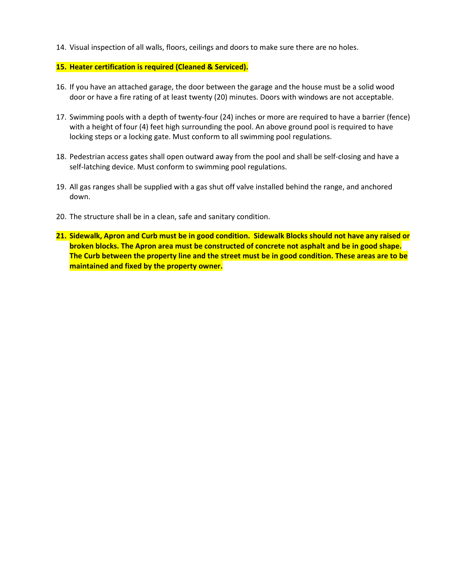14. Visual inspection of all walls, floors, ceilings and doors to make sure there are no holes.

## **15. Heater certification is required (Cleaned & Serviced).**

- 16. If you have an attached garage, the door between the garage and the house must be a solid wood door or have a fire rating of at least twenty (20) minutes. Doors with windows are not acceptable.
- 17. Swimming pools with a depth of twenty-four (24) inches or more are required to have a barrier (fence) with a height of four (4) feet high surrounding the pool. An above ground pool is required to have locking steps or a locking gate. Must conform to all swimming pool regulations.
- 18. Pedestrian access gates shall open outward away from the pool and shall be self-closing and have a self-latching device. Must conform to swimming pool regulations.
- 19. All gas ranges shall be supplied with a gas shut off valve installed behind the range, and anchored down.
- 20. The structure shall be in a clean, safe and sanitary condition.
- **21. Sidewalk, Apron and Curb must be in good condition. Sidewalk Blocks should not have any raised or broken blocks. The Apron area must be constructed of concrete not asphalt and be in good shape. The Curb between the property line and the street must be in good condition. These areas are to be maintained and fixed by the property owner.**